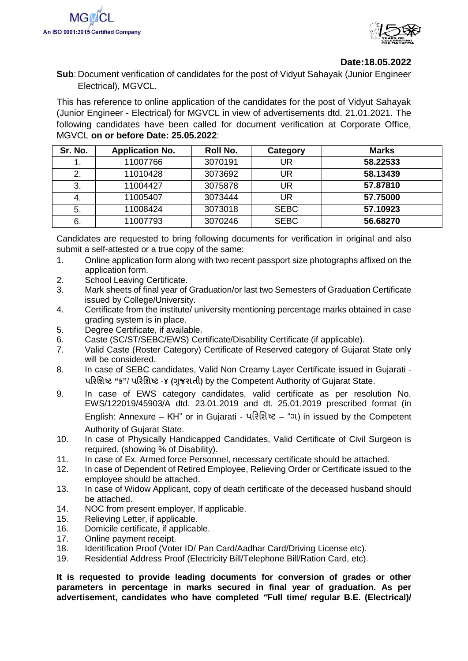



## **Date:18.05.2022**

**Sub**: Document verification of candidates for the post of Vidyut Sahayak (Junior Engineer Electrical), MGVCL.

This has reference to online application of the candidates for the post of Vidyut Sahayak (Junior Engineer - Electrical) for MGVCL in view of advertisements dtd. 21.01.2021. The following candidates have been called for document verification at Corporate Office, MGVCL **on or before Date: 25.05.2022**:

| Sr. No. | <b>Application No.</b> | Roll No. | Category    | <b>Marks</b> |
|---------|------------------------|----------|-------------|--------------|
|         | 11007766               | 3070191  | UR          | 58.22533     |
| 2.      | 11010428               | 3073692  | UR          | 58.13439     |
| 3.      | 11004427               | 3075878  | UR          | 57.87810     |
| -4.     | 11005407               | 3073444  | UR          | 57.75000     |
| 5.      | 11008424               | 3073018  | <b>SEBC</b> | 57.10923     |
| 6.      | 11007793               | 3070246  | <b>SEBC</b> | 56.68270     |

Candidates are requested to bring following documents for verification in original and also submit a self-attested or a true copy of the same:

- 1. Online application form along with two recent passport size photographs affixed on the application form.
- 2. School Leaving Certificate.
- 3. Mark sheets of final year of Graduation/or last two Semesters of Graduation Certificate issued by College/University.
- 4. Certificate from the institute/ university mentioning percentage marks obtained in case grading system is in place.
- 5. Degree Certificate, if available.
- 6. Caste (SC/ST/SEBC/EWS) Certificate/Disability Certificate (if applicable).
- 7. Valid Caste (Roster Category) Certificate of Reserved category of Gujarat State only will be considered.
- 8. In case of SEBC candidates, Valid Non Creamy Layer Certificate issued in Gujarati **પરિશિષ્ટ "ક"**/ **પરિશિષ્ટ** -**૪ (ગજુ િાતી)** by the Competent Authority of Gujarat State.
- 9. In case of EWS category candidates, valid certificate as per resolution No. EWS/122019/45903/A dtd. 23.01.2019 and dt. 25.01.2019 prescribed format (in English: Annexure – KH" or in Gujarati - પરિશિષ્ટ – "ગ) in issued by the Competent Authority of Gujarat State.
- 10. In case of Physically Handicapped Candidates, Valid Certificate of Civil Surgeon is required. (showing % of Disability).
- 11. In case of Ex. Armed force Personnel, necessary certificate should be attached.
- 12. In case of Dependent of Retired Employee, Relieving Order or Certificate issued to the employee should be attached.
- 13. In case of Widow Applicant, copy of death certificate of the deceased husband should be attached.
- 14. NOC from present employer, If applicable.
- 15. Relieving Letter, if applicable.
- 16. Domicile certificate, if applicable.
- 17. Online payment receipt.
- 18. Identification Proof (Voter ID/ Pan Card/Aadhar Card/Driving License etc).
- 19. Residential Address Proof (Electricity Bill/Telephone Bill/Ration Card, etc).

**It is requested to provide leading documents for conversion of grades or other parameters in percentage in marks secured in final year of graduation. As per advertisement, candidates who have completed** *"***Full time/ regular B.E. (Electrical)/**